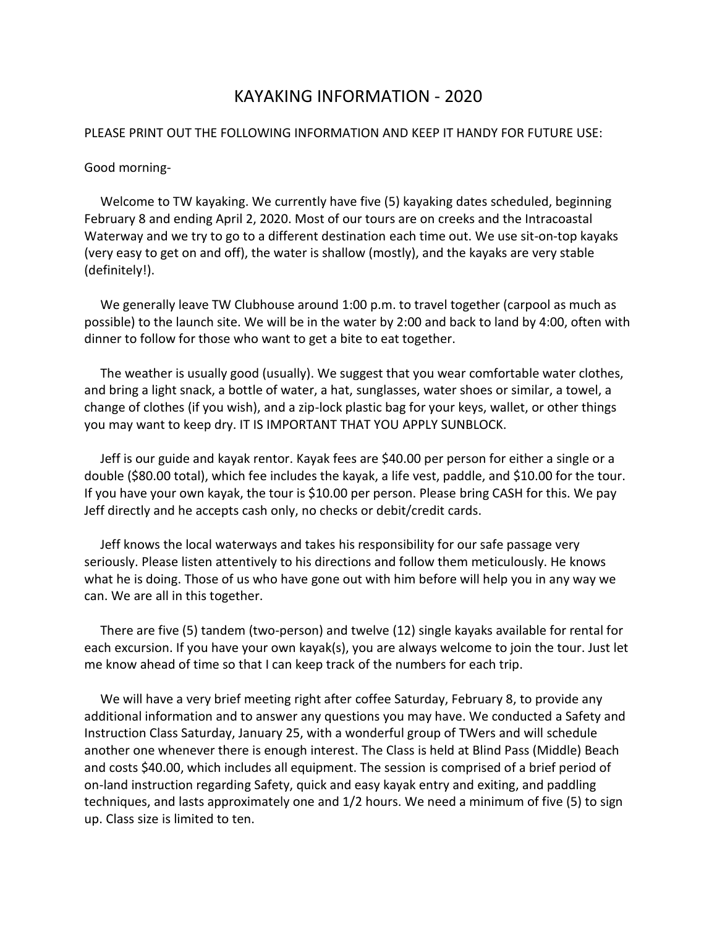## KAYAKING INFORMATION - 2020

## PLEASE PRINT OUT THE FOLLOWING INFORMATION AND KEEP IT HANDY FOR FUTURE USE:

## Good morning-

 Welcome to TW kayaking. We currently have five (5) kayaking dates scheduled, beginning February 8 and ending April 2, 2020. Most of our tours are on creeks and the Intracoastal Waterway and we try to go to a different destination each time out. We use sit-on-top kayaks (very easy to get on and off), the water is shallow (mostly), and the kayaks are very stable (definitely!).

 We generally leave TW Clubhouse around 1:00 p.m. to travel together (carpool as much as possible) to the launch site. We will be in the water by 2:00 and back to land by 4:00, often with dinner to follow for those who want to get a bite to eat together.

 The weather is usually good (usually). We suggest that you wear comfortable water clothes, and bring a light snack, a bottle of water, a hat, sunglasses, water shoes or similar, a towel, a change of clothes (if you wish), and a zip-lock plastic bag for your keys, wallet, or other things you may want to keep dry. IT IS IMPORTANT THAT YOU APPLY SUNBLOCK.

 Jeff is our guide and kayak rentor. Kayak fees are \$40.00 per person for either a single or a double (\$80.00 total), which fee includes the kayak, a life vest, paddle, and \$10.00 for the tour. If you have your own kayak, the tour is \$10.00 per person. Please bring CASH for this. We pay Jeff directly and he accepts cash only, no checks or debit/credit cards.

 Jeff knows the local waterways and takes his responsibility for our safe passage very seriously. Please listen attentively to his directions and follow them meticulously. He knows what he is doing. Those of us who have gone out with him before will help you in any way we can. We are all in this together.

 There are five (5) tandem (two-person) and twelve (12) single kayaks available for rental for each excursion. If you have your own kayak(s), you are always welcome to join the tour. Just let me know ahead of time so that I can keep track of the numbers for each trip.

 We will have a very brief meeting right after coffee Saturday, February 8, to provide any additional information and to answer any questions you may have. We conducted a Safety and Instruction Class Saturday, January 25, with a wonderful group of TWers and will schedule another one whenever there is enough interest. The Class is held at Blind Pass (Middle) Beach and costs \$40.00, which includes all equipment. The session is comprised of a brief period of on-land instruction regarding Safety, quick and easy kayak entry and exiting, and paddling techniques, and lasts approximately one and 1/2 hours. We need a minimum of five (5) to sign up. Class size is limited to ten.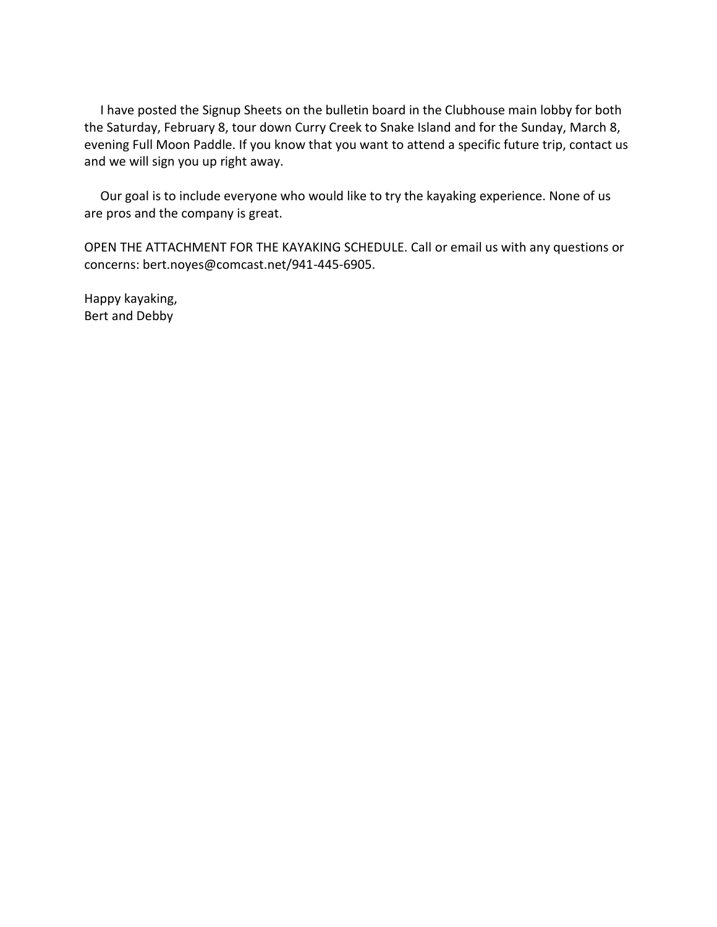I have posted the Signup Sheets on the bulletin board in the Clubhouse main lobby for both the Saturday, February 8, tour down Curry Creek to Snake Island and for the Sunday, March 8, evening Full Moon Paddle. If you know that you want to attend a specific future trip, contact us and we will sign you up right away.

 Our goal is to include everyone who would like to try the kayaking experience. None of us are pros and the company is great.

OPEN THE ATTACHMENT FOR THE KAYAKING SCHEDULE. Call or email us with any questions or concerns: bert.noyes@comcast.net/941-445-6905.

Happy kayaking, Bert and Debby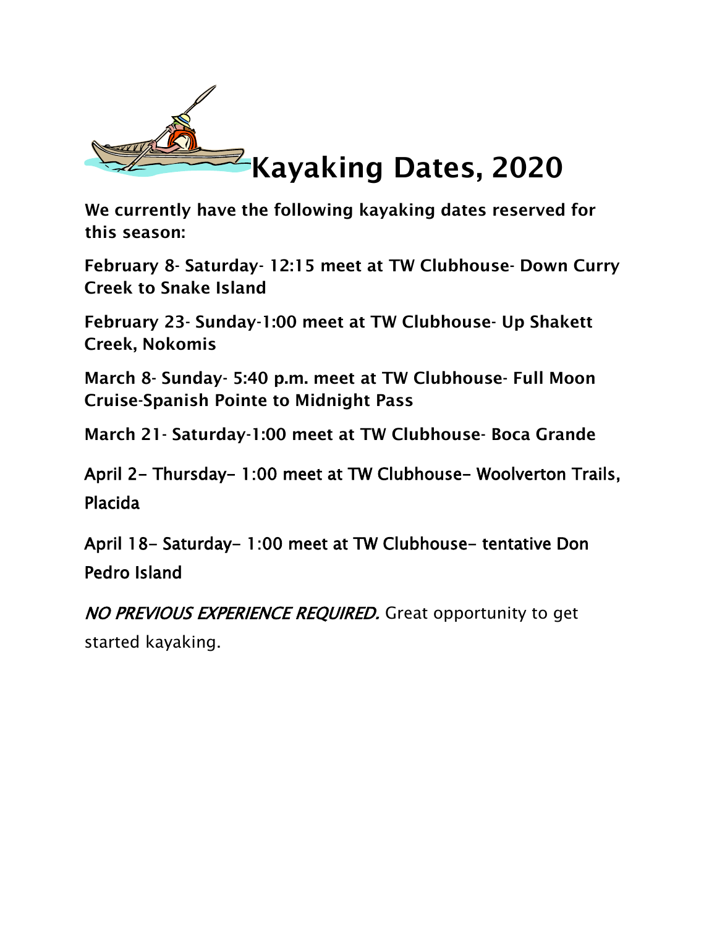

**We currently have** the following **kayaking dates reserved for this season:** 

**February 8- Saturday- 12:15 meet at TW Clubhouse- Down Curry Creek to Snake Island** 

**February 23- Sunday-1:00 meet at TW Clubhouse- Up Shakett Creek, Nokomis** 

**March 8- Sunday- 5:40 p.m. meet at TW Clubhouse- Full Moon Cruise-Spanish Pointe to Midnight Pass** 

**March 21- Saturday-1:00 meet at TW Clubhouse- Boca Grande** 

April 2- Thursday- 1:00 meet at TW Clubhouse- Woolverton Trails, Placida

April 18- Saturday- 1:00 meet at TW Clubhouse- tentative Don Pedro Island

NO PREVIOUS EXPERIENCE REQUIRED. Great opportunity to get started kayaking.